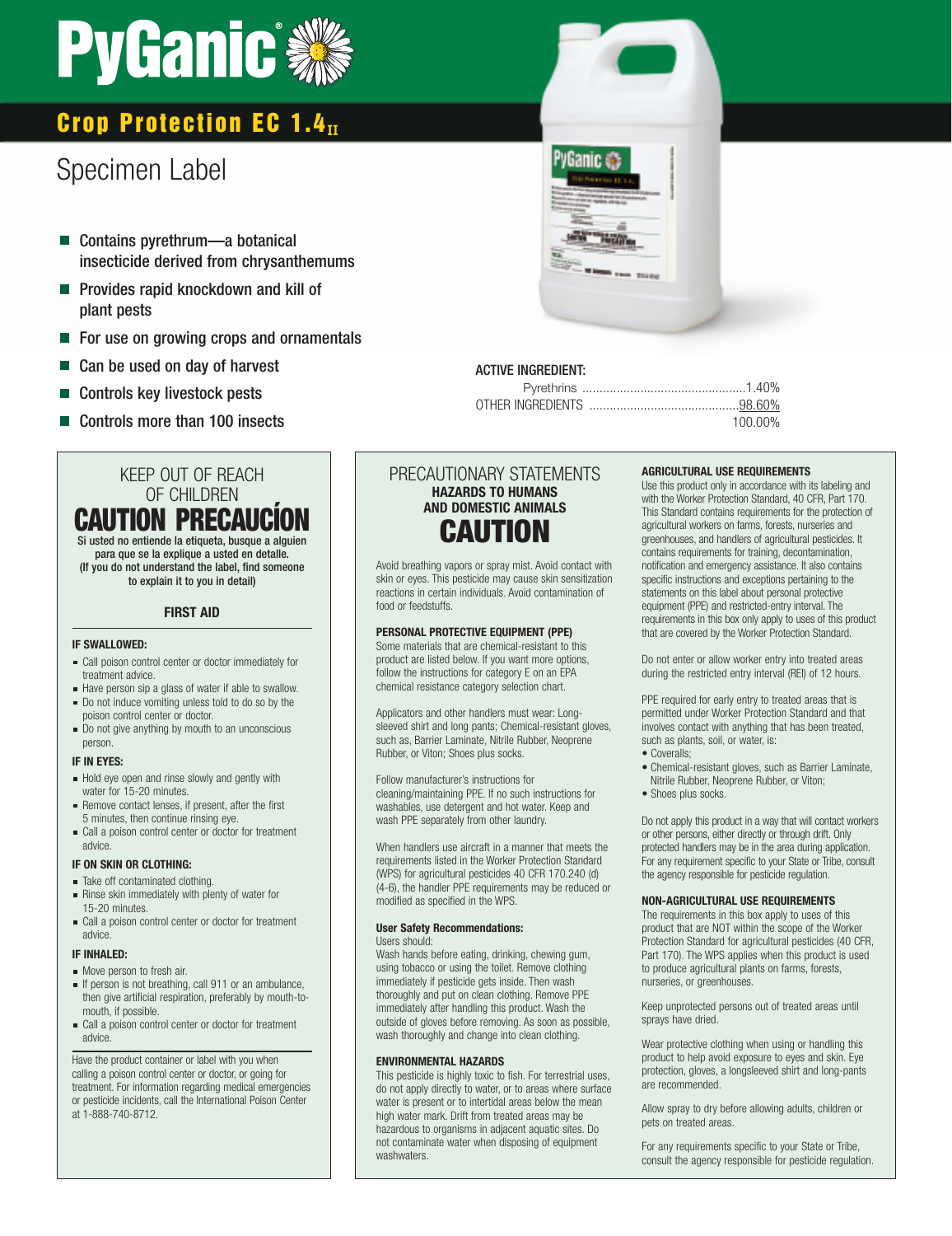# **PyGanic**

# **Crop Protection EC 1.4II**

# Specimen Label

- Contains pyrethrum—a botanical insecticide derived from chrysanthemums
- **Provides rapid knockdown and kill of** plant pests
- **For use on growing crops and ornamentals**
- Can be used on day of harvest
- Controls key livestock pests
- Controls more than 100 insects

## KEEP OUT OF REACH OF CHILDREN **CAUTION PRECAUC** Si usted no entiende la etiqueta, busque a alguien para que se la explique a usted en detalle. (If you do not understand the label, find someone to explain it to you in detail)

### **FIRST AID**

#### **IF SWALLOWED:**

- Call poison control center or doctor immediately for treatment advice.
- Have person sip a glass of water if able to swallow. Do not induce vomiting unless told to do so by the
- poison control center or doctor. Do not give anything by mouth to an unconscious person.

#### **IF IN EYES:**

- Hold eye open and rinse slowly and gently with water for 15-20 minutes.
- Remove contact lenses, if present, after the first 5 minutes, then continue rinsing eye.
- Call a poison control center or doctor for treatment advice.

#### **IF ON SKIN OR CLOTHING:**

- Take off contaminated clothing.
- Rinse skin immediately with plenty of water for 15-20 minutes. Call a poison control center or doctor for treatment
- advice.

#### **IF INHALED:**

- Move person to fresh air.
- If person is not breathing, call 911 or an ambulance, then give artificial respiration, preferably by mouth-tomouth, if possible.
- Call a poison control center or doctor for treatment advice.

Have the product container or label with you when calling a poison control center or doctor, or going for treatment. For information regarding medical emergencies or pesticide incidents, call the International Poison Center at 1-888-740-8712.

# PRECAUTIONARY STATEMENTS **HAZARDS TO HUMANS AND DOMESTIC ANIMALS CAUTION**

Avoid breathing vapors or spray mist. Avoid contact with skin or eyes. This pesticide may cause skin sensitization reactions in certain individuals. Avoid contamination of food or feedstuffs.

## **PERSONAL PROTECTIVE EQUIPMENT (PPE)**

Some materials that are chemical-resistant to this product are listed below. If you want more options, follow the instructions for category E on an EPA chemical resistance category selection chart.

Applicators and other handlers must wear: Longsleeved shirt and long pants; Chemical-resistant gloves, such as, Barrier Laminate, Nitrile Rubber, Neoprene Rubber, or Viton; Shoes plus socks.

Follow manufacturer's instructions for cleaning/maintaining PPE. If no such instructions for washables, use detergent and hot water. Keep and wash PPE separately from other laundry.

When handlers use aircraft in a manner that meets the requirements listed in the Worker Protection Standard (WPS) for agricultural pesticides 40 CFR 170.240 (d) (4-6), the handler PPE requirements may be reduced or modified as specified in the WPS.

#### **User Safety Recommendations:** Users should:

Wash hands before eating, drinking, chewing gum, using tobacco or using the toilet. Remove clothing immediately if pesticide gets inside. Then wash thoroughly and put on clean clothing. Remove PPE immediately after handling this product. Wash the outside of gloves before removing. As soon as possible, wash thoroughly and change into clean clothing.

#### **ENVIRONMENTAL HAZARDS**

This pesticide is highly toxic to fish. For terrestrial uses, do not apply directly to water, or to areas where surface water is present or to intertidal areas below the mean high water mark. Drift from treated areas may be hazardous to organisms in adjacent aquatic sites. Do not contaminate water when disposing of equipment washwaters.



# ACTIVE INGREDIENT:

|  | 100.00% |
|--|---------|

#### **AGRICULTURAL USE REQUIREMENTS**

Use this product only in accordance with its labeling and with the Worker Protection Standard, 40 CFR, Part 170. This Standard contains requirements for the protection of agricultural workers on farms, forests, nurseries and greenhouses, and handlers of agricultural pesticides. It contains requirements for training, decontamination, notification and emergency assistance. It also contains specific instructions and exceptions pertaining to the statements on this label about personal protective equipment (PPE) and restricted-entry interval. The requirements in this box only apply to uses of this product that are covered by the Worker Protection Standard.

Do not enter or allow worker entry into treated areas during the restricted entry interval (REI) of 12 hours.

PPE required for early entry to treated areas that is permitted under Worker Protection Standard and that involves contact with anything that has been treated, such as plants, soil, or water, is:

- Coveralls:
- Chemical-resistant gloves, such as Barrier Laminate, Nitrile Rubber, Neoprene Rubber, or Viton;
- Shoes plus socks.

Do not apply this product in a way that will contact workers or other persons, either directly or through drift. Only protected handlers may be in the area during application. For any requirement specific to your State or Tribe, consult the agency responsible for pesticide regulation.

#### **NON-AGRICULTURAL USE REQUIREMENTS**

The requirements in this box apply to uses of this product that are NOT within the scope of the Worker Protection Standard for agricultural pesticides (40 CFR, Part 170). The WPS applies when this product is used to produce agricultural plants on farms, forests, nurseries, or greenhouses.

Keep unprotected persons out of treated areas until sprays have dried.

Wear protective clothing when using or handling this product to help avoid exposure to eyes and skin. Eye protection, gloves, a longsleeved shirt and long-pants are recommended.

Allow spray to dry before allowing adults, children or pets on treated areas.

For any requirements specific to your State or Tribe, consult the agency responsible for pesticide regulation.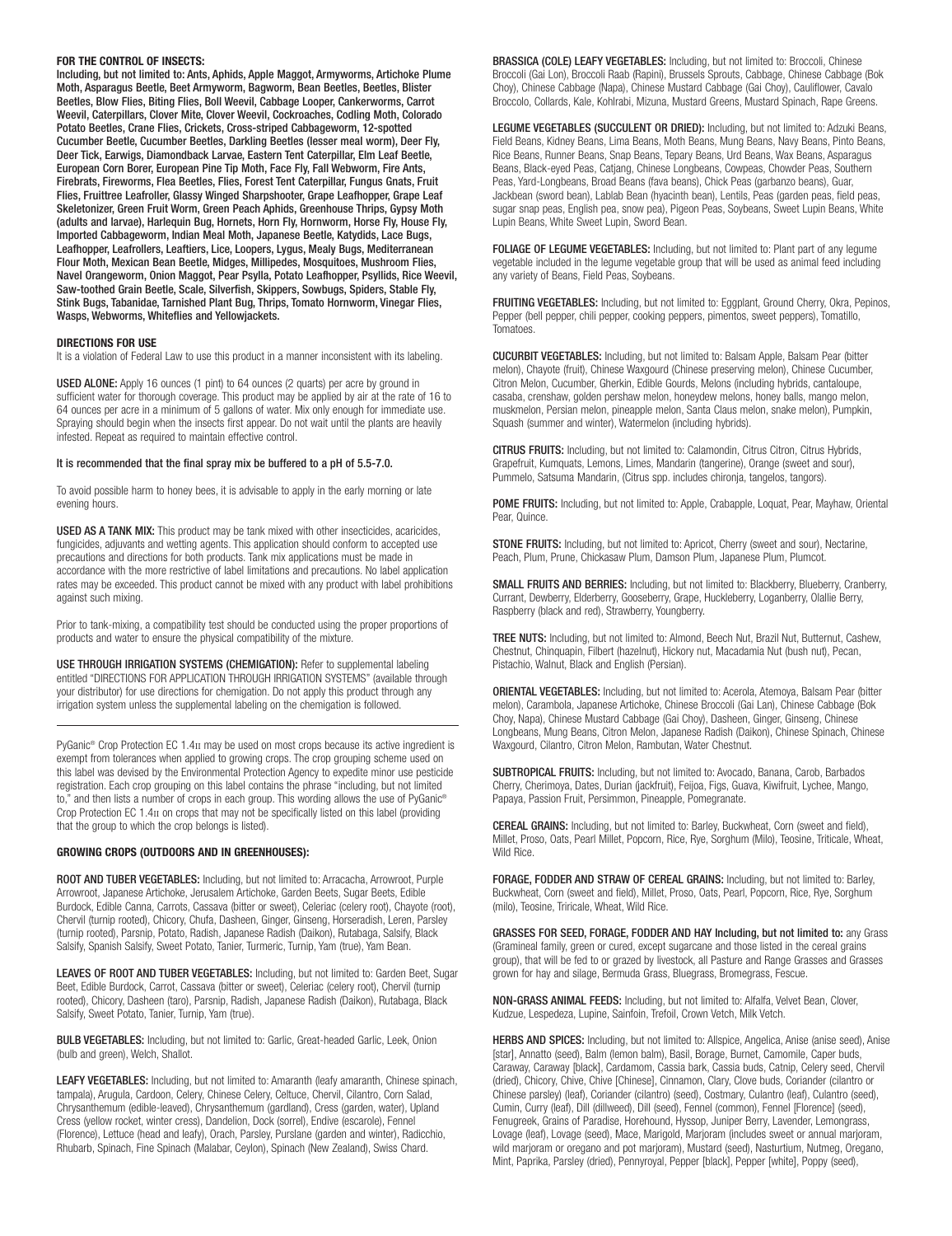#### **FOR THE CONTROL OF INSECTS:**

Including, but not limited to: Ants, Aphids, Apple Maggot, Armyworms, Artichoke Plume Moth, Asparagus Beetle, Beet Armyworm, Bagworm, Bean Beetles, Beetles, Blister Beetles, Blow Flies, Biting Flies, Boll Weevil, Cabbage Looper, Cankerworms, Carrot Weevil, Caterpillars, Clover Mite, Clover Weevil, Cockroaches, Codling Moth, Colorado Potato Beetles, Crane Flies, Crickets, Cross-striped Cabbageworm, 12-spotted Cucumber Beetle, Cucumber Beetles, Darkling Beetles (lesser meal worm), Deer Fly, Deer Tick, Earwigs, Diamondback Larvae, Eastern Tent Caterpillar, Elm Leaf Beetle, European Corn Borer, European Pine Tip Moth, Face Fly, Fall Webworm, Fire Ants, Firebrats, Fireworms, Flea Beetles, Flies, Forest Tent Caterpillar, Fungus Gnats, Fruit Flies, Fruittree Leafroller, Glassy Winged Sharpshooter, Grape Leafhopper, Grape Leaf Skeletonizer, Green Fruit Worm, Green Peach Aphids, Greenhouse Thrips, Gypsy Moth (adults and larvae), Harlequin Bug, Hornets, Horn Fly, Hornworm, Horse Fly, House Fly, Imported Cabbageworm, Indian Meal Moth, Japanese Beetle, Katydids, Lace Bugs, Leafhopper, Leafrollers, Leaftiers, Lice, Loopers, Lygus, Mealy Bugs, Mediterranean Flour Moth, Mexican Bean Beetle, Midges, Millipedes, Mosquitoes, Mushroom Flies, Navel Orangeworm, Onion Maggot, Pear Psylla, Potato Leafhopper, Psyllids, Rice Weevil, Saw-toothed Grain Beetle, Scale, Silverfish, Skippers, Sowbugs, Spiders, Stable Fly, Stink Bugs, Tabanidae, Tarnished Plant Bug, Thrips, Tomato Hornworm, Vinegar Flies, Wasps, Webworms, Whiteflies and Yellowjackets.

#### **DIRECTIONS FOR USE**

It is a violation of Federal Law to use this product in a manner inconsistent with its labeling.

USED ALONE: Apply 16 ounces (1 pint) to 64 ounces (2 quarts) per acre by ground in sufficient water for thorough coverage. This product may be applied by air at the rate of 16 to 64 ounces per acre in a minimum of 5 gallons of water. Mix only enough for immediate use. Spraying should begin when the insects first appear. Do not wait until the plants are heavily infested. Repeat as required to maintain effective control.

#### It is recommended that the final spray mix be buffered to a pH of 5.5-7.0.

To avoid possible harm to honey bees, it is advisable to apply in the early morning or late evening hours.

USED AS A TANK MIX: This product may be tank mixed with other insecticides, acaricides, fungicides, adjuvants and wetting agents. This application should conform to accepted use precautions and directions for both products. Tank mix applications must be made in accordance with the more restrictive of label limitations and precautions. No label application rates may be exceeded. This product cannot be mixed with any product with label prohibitions against such mixing.

Prior to tank-mixing, a compatibility test should be conducted using the proper proportions of products and water to ensure the physical compatibility of the mixture.

USE THROUGH IRRIGATION SYSTEMS (CHEMIGATION): Refer to supplemental labeling entitled "DIRECTIONS FOR APPLICATION THROUGH IRRIGATION SYSTEMS" (available through your distributor) for use directions for chemigation. Do not apply this product through any irrigation system unless the supplemental labeling on the chemigation is followed.

PyGanic<sup>®</sup> Crop Protection EC 1.4II may be used on most crops because its active ingredient is exempt from tolerances when applied to growing crops. The crop grouping scheme used on this label was devised by the Environmental Protection Agency to expedite minor use pesticide registration. Each crop grouping on this label contains the phrase "including, but not limited to," and then lists a number of crops in each group. This wording allows the use of PyGanic® Crop Protection EC 1.4II on crops that may not be specifically listed on this label (providing that the group to which the crop belongs is listed).

#### **GROWING CROPS (OUTDOORS AND IN GREENHOUSES):**

ROOT AND TUBER VEGETABLES: Including, but not limited to: Arracacha, Arrowroot, Purple Arrowroot, Japanese Artichoke, Jerusalem Artichoke, Garden Beets, Sugar Beets, Edible Burdock, Edible Canna, Carrots, Cassava (bitter or sweet), Celeriac (celery root), Chayote (root), Chervil (turnip rooted), Chicory, Chufa, Dasheen, Ginger, Ginseng, Horseradish, Leren, Parsley (turnip rooted), Parsnip, Potato, Radish, Japanese Radish (Daikon), Rutabaga, Salsify, Black Salsify, Spanish Salsify, Sweet Potato, Tanier, Turmeric, Turnip, Yam (true), Yam Bean.

LEAVES OF ROOT AND TUBER VEGETABLES: Including, but not limited to: Garden Beet, Sugar Beet, Edible Burdock, Carrot, Cassava (bitter or sweet), Celeriac (celery root), Chervil (turnip rooted), Chicory, Dasheen (taro), Parsnip, Radish, Japanese Radish (Daikon), Rutabaga, Black Salsify, Sweet Potato, Tanier, Turnip, Yam (true).

BULB VEGETABLES: Including, but not limited to: Garlic, Great-headed Garlic, Leek, Onion (bulb and green), Welch, Shallot.

LEAFY VEGETABLES: Including, but not limited to: Amaranth (leafy amaranth, Chinese spinach, tampala), Arugula, Cardoon, Celery, Chinese Celery, Celtuce, Chervil, Cilantro, Corn Salad, Chrysanthemum (edible-leaved), Chrysanthemum (gardland), Cress (garden, water), Upland Cress (yellow rocket, winter cress), Dandelion, Dock (sorrel), Endive (escarole), Fennel (Florence), Lettuce (head and leafy), Orach, Parsley, Purslane (garden and winter), Radicchio, Rhubarb, Spinach, Fine Spinach (Malabar, Ceylon), Spinach (New Zealand), Swiss Chard.

BRASSICA (COLE) LEAFY VEGETABLES: Including, but not limited to: Broccoli, Chinese Broccoli (Gai Lon), Broccoli Raab (Rapini), Brussels Sprouts, Cabbage, Chinese Cabbage (Bok Choy), Chinese Cabbage (Napa), Chinese Mustard Cabbage (Gai Choy), Cauliflower, Cavalo Broccolo, Collards, Kale, Kohlrabi, Mizuna, Mustard Greens, Mustard Spinach, Rape Greens.

LEGUME VEGETABLES (SUCCULENT OR DRIED): Including, but not limited to: Adzuki Beans, Field Beans, Kidney Beans, Lima Beans, Moth Beans, Mung Beans, Navy Beans, Pinto Beans, Rice Beans, Runner Beans, Snap Beans, Tepary Beans, Urd Beans, Wax Beans, Asparagus Beans, Black-eyed Peas, Catjang, Chinese Longbeans, Cowpeas, Chowder Peas, Southern Peas, Yard-Longbeans, Broad Beans (fava beans), Chick Peas (garbanzo beans), Guar, Jackbean (sword bean), Lablab Bean (hyacinth bean), Lentils, Peas (garden peas, field peas, sugar snap peas, English pea, snow pea), Pigeon Peas, Soybeans, Sweet Lupin Beans, White Lupin Beans, White Sweet Lupin, Sword Bean.

FOLIAGE OF LEGUME VEGETABLES: Including, but not limited to: Plant part of any legume vegetable included in the legume vegetable group that will be used as animal feed including any variety of Beans, Field Peas, Soybeans.

FRUITING VEGETABLES: Including, but not limited to: Eggplant, Ground Cherry, Okra, Pepinos, Pepper (bell pepper, chili pepper, cooking peppers, pimentos, sweet peppers), Tomatillo, **Tomatoes** 

CUCURBIT VEGETABLES: Including, but not limited to: Balsam Apple, Balsam Pear (bitter melon), Chayote (fruit), Chinese Waxgourd (Chinese preserving melon), Chinese Cucumber, Citron Melon, Cucumber, Gherkin, Edible Gourds, Melons (including hybrids, cantaloupe, casaba, crenshaw, golden pershaw melon, honeydew melons, honey balls, mango melon, muskmelon, Persian melon, pineapple melon, Santa Claus melon, snake melon), Pumpkin, Squash (summer and winter), Watermelon (including hybrids).

CITRUS FRUITS: Including, but not limited to: Calamondin, Citrus Citron, Citrus Hybrids, Grapefruit, Kumquats, Lemons, Limes, Mandarin (tangerine), Orange (sweet and sour), Pummelo, Satsuma Mandarin, (Citrus spp. includes chironja, tangelos, tangors).

POME FRUITS: Including, but not limited to: Apple, Crabapple, Loquat, Pear, Mayhaw, Oriental Pear, Quince.

STONE FRUITS: Including, but not limited to: Apricot, Cherry (sweet and sour), Nectarine, Peach, Plum, Prune, Chickasaw Plum, Damson Plum, Japanese Plum, Plumcot.

SMALL FRUITS AND BERRIES: Including, but not limited to: Blackberry, Blueberry, Cranberry, Currant, Dewberry, Elderberry, Gooseberry, Grape, Huckleberry, Loganberry, Olallie Berry, Raspberry (black and red), Strawberry, Youngberry.

TREE NUTS: Including, but not limited to: Almond, Beech Nut, Brazil Nut, Butternut, Cashew, Chestnut, Chinquapin, Filbert (hazelnut), Hickory nut, Macadamia Nut (bush nut), Pecan, Pistachio, Walnut, Black and English (Persian).

ORIENTAL VEGETABLES: Including, but not limited to: Acerola, Atemoya, Balsam Pear (bitter melon), Carambola, Japanese Artichoke, Chinese Broccoli (Gai Lan), Chinese Cabbage (Bok Choy, Napa), Chinese Mustard Cabbage (Gai Choy), Dasheen, Ginger, Ginseng, Chinese Longbeans, Mung Beans, Citron Melon, Japanese Radish (Daikon), Chinese Spinach, Chinese Waxgourd, Cilantro, Citron Melon, Rambutan, Water Chestnut.

SUBTROPICAL FRUITS: Including, but not limited to: Avocado, Banana, Carob, Barbados Cherry, Cherimoya, Dates, Durian (jackfruit), Feijoa, Figs, Guava, Kiwifruit, Lychee, Mango, Papaya, Passion Fruit, Persimmon, Pineapple, Pomegranate.

CEREAL GRAINS: Including, but not limited to: Barley, Buckwheat, Corn (sweet and field), Millet, Proso, Oats, Pearl Millet, Popcorn, Rice, Rye, Sorghum (Milo), Teosine, Triticale, Wheat, Wild Rice.

FORAGE, FODDER AND STRAW OF CEREAL GRAINS: Including, but not limited to: Barley, Buckwheat, Corn (sweet and field), Millet, Proso, Oats, Pearl, Popcorn, Rice, Rye, Sorghum (milo), Teosine, Triricale, Wheat, Wild Rice.

GRASSES FOR SEED, FORAGE, FODDER AND HAY Including, but not limited to: any Grass (Gramineal family, green or cured, except sugarcane and those listed in the cereal grains group), that will be fed to or grazed by livestock, all Pasture and Range Grasses and Grasses grown for hay and silage, Bermuda Grass, Bluegrass, Bromegrass, Fescue.

NON-GRASS ANIMAL FEEDS: Including, but not limited to: Alfalfa, Velvet Bean, Clover, Kudzue, Lespedeza, Lupine, Sainfoin, Trefoil, Crown Vetch, Milk Vetch.

HERBS AND SPICES: Including, but not limited to: Allspice, Angelica, Anise (anise seed), Anise [star], Annatto (seed), Balm (lemon balm), Basil, Borage, Burnet, Camomile, Caper buds, Caraway, Caraway [black], Cardamom, Cassia bark, Cassia buds, Catnip, Celery seed, Chervil (dried), Chicory, Chive, Chive [Chinese], Cinnamon, Clary, Clove buds, Coriander (cilantro or Chinese parsley) (leaf), Coriander (cilantro) (seed), Costmary, Culantro (leaf), Culantro (seed), Cumin, Curry (leaf), Dill (dillweed), Dill (seed), Fennel (common), Fennel [Florence] (seed), Fenugreek, Grains of Paradise, Horehound, Hyssop, Juniper Berry, Lavender, Lemongrass, Lovage (leaf), Lovage (seed), Mace, Marigold, Marjoram (includes sweet or annual marjoram, wild marjoram or oregano and pot marjoram), Mustard (seed), Nasturtium, Nutmeg, Oregano, Mint, Paprika, Parsley (dried), Pennyroyal, Pepper [black], Pepper [white], Poppy (seed),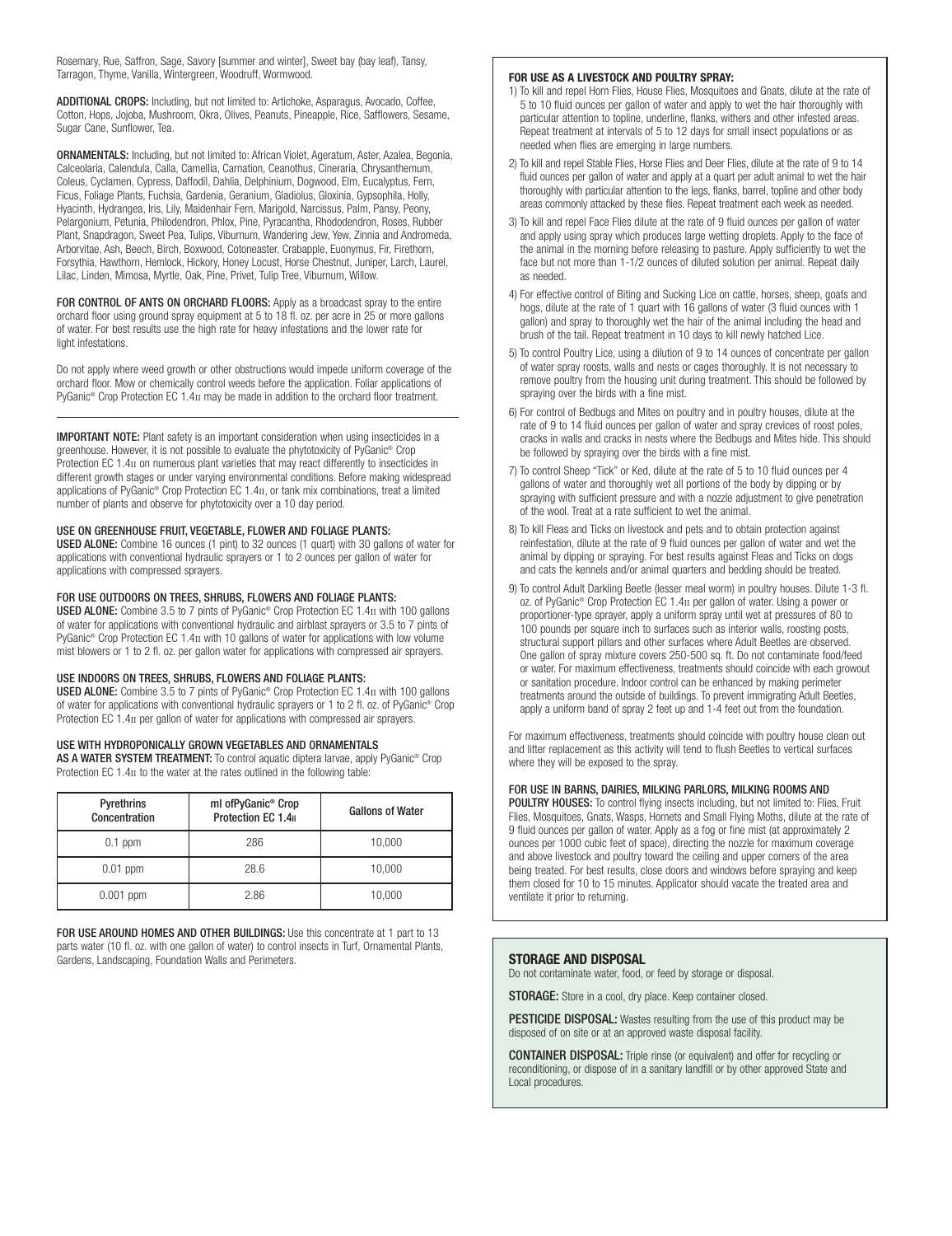Rosemary, Rue, Saffron, Sage, Savory [summer and winter], Sweet bay (bay leaf), Tansy, Tarragon, Thyme, Vanilla, Wintergreen, Woodruff, Wormwood.

ADDITIONAL CROPS: Including, but not limited to: Artichoke, Asparagus, Avocado, Coffee, Cotton, Hops, Jojoba, Mushroom, Okra, Olives, Peanuts, Pineapple, Rice, Safflowers, Sesame, Sugar Cane, Sunflower, Tea.

ORNAMENTALS: Including, but not limited to: African Violet, Ageratum, Aster, Azalea, Begonia, Calceolaria, Calendula, Calla, Camellia, Carnation, Ceanothus, Cineraria, Chrysanthemum, Coleus, Cyclamen, Cypress, Daffodil, Dahlia, Delphinium, Dogwood, Elm, Eucalyptus, Fern, Ficus, Foliage Plants, Fuchsia, Gardenia, Geranium, Gladiolus, Gloxinia, Gypsophila, Holly, Hyacinth, Hydrangea, Iris, Lily, Maidenhair Fern, Marigold, Narcissus, Palm, Pansy, Peony, Pelargonium, Petunia, Philodendron, Phlox, Pine, Pyracantha, Rhododendron, Roses, Rubber Plant, Snapdragon, Sweet Pea, Tulips, Viburnum, Wandering Jew, Yew, Zinnia and Andromeda, Arborvitae, Ash, Beech, Birch, Boxwood, Cotoneaster, Crabapple, Euonymus, Fir, Firethorn, Forsythia, Hawthorn, Hemlock, Hickory, Honey Locust, Horse Chestnut, Juniper, Larch, Laurel, Lilac, Linden, Mimosa, Myrtle, Oak, Pine, Privet, Tulip Tree, Viburnum, Willow.

FOR CONTROL OF ANTS ON ORCHARD FLOORS: Apply as a broadcast spray to the entire orchard floor using ground spray equipment at 5 to 18 fl. oz. per acre in 25 or more gallons of water. For best results use the high rate for heavy infestations and the lower rate for light infestations.

Do not apply where weed growth or other obstructions would impede uniform coverage of the orchard floor. Mow or chemically control weeds before the application. Foliar applications of PyGanic® Crop Protection EC 1.4II may be made in addition to the orchard floor treatment.

IMPORTANT NOTE: Plant safety is an important consideration when using insecticides in a greenhouse. However, it is not possible to evaluate the phytotoxicity of PyGanic® Crop Protection EC 1.4II on numerous plant varieties that may react differently to insecticides in different growth stages or under varying environmental conditions. Before making widespread applications of PyGanic® Crop Protection EC 1.4II, or tank mix combinations, treat a limited number of plants and observe for phytotoxicity over a 10 day period.

#### USE ON GREENHOUSE FRUIT, VEGETABLE, FLOWER AND FOLIAGE PLANTS:

USED ALONE: Combine 16 ounces (1 pint) to 32 ounces (1 quart) with 30 gallons of water for applications with conventional hydraulic sprayers or 1 to 2 ounces per gallon of water for applications with compressed sprayers.

#### FOR USE OUTDOORS ON TREES, SHRUBS, FLOWERS AND FOLIAGE PLANTS:

USED ALONE: Combine 3.5 to 7 pints of PyGanic<sup>®</sup> Crop Protection EC 1.4<sub>II</sub> with 100 gallons of water for applications with conventional hydraulic and airblast sprayers or 3.5 to 7 pints of PyGanic® Crop Protection EC 1.4II with 10 gallons of water for applications with low volume mist blowers or 1 to 2 fl. oz. per gallon water for applications with compressed air sprayers.

#### USE INDOORS ON TREES, SHRUBS, FLOWERS AND FOLIAGE PLANTS:

USED ALONE: Combine 3.5 to 7 pints of PyGanic® Crop Protection EC 1.4II with 100 gallons of water for applications with conventional hydraulic sprayers or 1 to 2 fl. oz. of PyGanic® Crop Protection EC 1.4 $\text{II}$  per gallon of water for applications with compressed air sprayers.

#### USE WITH HYDROPONICALLY GROWN VEGETABLES AND ORNAMENTALS

AS A WATER SYSTEM TREATMENT: To control aquatic diptera larvae, apply PyGanic® Crop Protection EC 1.4II to the water at the rates outlined in the following table:

| Pyrethrins<br>Concentration | ml ofPyGanic <sup>®</sup> Crop<br>Protection EC 1.4 | <b>Gallons of Water</b> |
|-----------------------------|-----------------------------------------------------|-------------------------|
| $0.1$ ppm                   | 286                                                 | 10,000                  |
| $0.01$ ppm                  | 28.6                                                | 10,000                  |
| $0.001$ ppm                 | 2.86                                                | 10,000                  |

FOR USE AROUND HOMES AND OTHER BUILDINGS: Use this concentrate at 1 part to 13 parts water (10 fl. oz. with one gallon of water) to control insects in Turf, Ornamental Plants, Gardens, Landscaping, Foundation Walls and Perimeters.

#### **FOR USE AS A LIVESTOCK AND POULTRY SPRAY:**

- 1) To kill and repel Horn Flies, House Flies, Mosquitoes and Gnats, dilute at the rate of 5 to 10 fluid ounces per gallon of water and apply to wet the hair thoroughly with particular attention to topline, underline, flanks, withers and other infested areas. Repeat treatment at intervals of 5 to 12 days for small insect populations or as needed when flies are emerging in large numbers.
- 2) To kill and repel Stable Flies, Horse Flies and Deer Flies, dilute at the rate of 9 to 14 fluid ounces per gallon of water and apply at a quart per adult animal to wet the hair thoroughly with particular attention to the legs, flanks, barrel, topline and other body areas commonly attacked by these flies. Repeat treatment each week as needed.
- 3) To kill and repel Face Flies dilute at the rate of 9 fluid ounces per gallon of water and apply using spray which produces large wetting droplets. Apply to the face of the animal in the morning before releasing to pasture. Apply sufficiently to wet the face but not more than 1-1/2 ounces of diluted solution per animal. Repeat daily as needed.
- 4) For effective control of Biting and Sucking Lice on cattle, horses, sheep, goats and hogs, dilute at the rate of 1 quart with 16 gallons of water (3 fluid ounces with 1 gallon) and spray to thoroughly wet the hair of the animal including the head and brush of the tail. Repeat treatment in 10 days to kill newly hatched Lice.
- 5) To control Poultry Lice, using a dilution of 9 to 14 ounces of concentrate per gallon of water spray roosts, walls and nests or cages thoroughly. It is not necessary to remove poultry from the housing unit during treatment. This should be followed by spraying over the birds with a fine mist.
- 6) For control of Bedbugs and Mites on poultry and in poultry houses, dilute at the rate of 9 to 14 fluid ounces per gallon of water and spray crevices of roost poles, cracks in walls and cracks in nests where the Bedbugs and Mites hide. This should be followed by spraying over the birds with a fine mist.
- 7) To control Sheep "Tick" or Ked, dilute at the rate of 5 to 10 fluid ounces per 4 gallons of water and thoroughly wet all portions of the body by dipping or by spraying with sufficient pressure and with a nozzle adjustment to give penetration of the wool. Treat at a rate sufficient to wet the animal.
- 8) To kill Fleas and Ticks on livestock and pets and to obtain protection against reinfestation, dilute at the rate of 9 fluid ounces per gallon of water and wet the animal by dipping or spraying. For best results against Fleas and Ticks on dogs and cats the kennels and/or animal quarters and bedding should be treated.
- 9) To control Adult Darkling Beetle (lesser meal worm) in poultry houses. Dilute 1-3 fl. oz. of PyGanic® Crop Protection EC 1.4II per gallon of water. Using a power or proportioner-type sprayer, apply a uniform spray until wet at pressures of 80 to 100 pounds per square inch to surfaces such as interior walls, roosting posts, structural support pillars and other surfaces where Adult Beetles are observed. One gallon of spray mixture covers 250-500 sq. ft. Do not contaminate food/feed or water. For maximum effectiveness, treatments should coincide with each growout or sanitation procedure. Indoor control can be enhanced by making perimeter treatments around the outside of buildings. To prevent immigrating Adult Beetles, apply a uniform band of spray 2 feet up and 1-4 feet out from the foundation.

For maximum effectiveness, treatments should coincide with poultry house clean out and litter replacement as this activity will tend to flush Beetles to vertical surfaces where they will be exposed to the spray.

#### FOR USE IN BARNS, DAIRIES, MILKING PARLORS, MILKING ROOMS AND

POULTRY HOUSES: To control flying insects including, but not limited to: Flies, Fruit Flies, Mosquitoes, Gnats, Wasps, Hornets and Small Flying Moths, dilute at the rate of 9 fluid ounces per gallon of water. Apply as a fog or fine mist (at approximately 2 ounces per 1000 cubic feet of space), directing the nozzle for maximum coverage and above livestock and poultry toward the ceiling and upper corners of the area being treated. For best results, close doors and windows before spraying and keep them closed for 10 to 15 minutes. Applicator should vacate the treated area and ventilate it prior to returning.

#### **STORAGE AND DISPOSAL**

Do not contaminate water, food, or feed by storage or disposal.

STORAGE: Store in a cool, dry place. Keep container closed.

PESTICIDE DISPOSAL: Wastes resulting from the use of this product may be disposed of on site or at an approved waste disposal facility.

CONTAINER DISPOSAL: Triple rinse (or equivalent) and offer for recycling or reconditioning, or dispose of in a sanitary landfill or by other approved State and Local procedures.